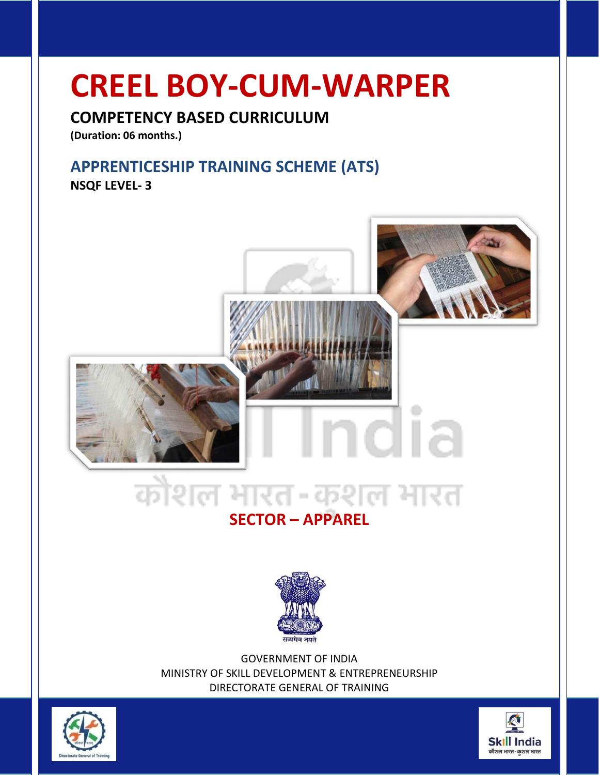### **CREEL BOY-CUM-WARPER**

### **COMPETENCY BASED CURRICULUM**

**(Duration: 06 months.)**

### **APPRENTICESHIP TRAINING SCHEME (ATS)**

**NSQF LEVEL- 3**



### **SECTOR – APPAREL**



GOVERNMENT OF INDIA MINISTRY OF SKILL DEVELOPMENT & ENTREPRENEURSHIP DIRECTORATE GENERAL OF TRAINING



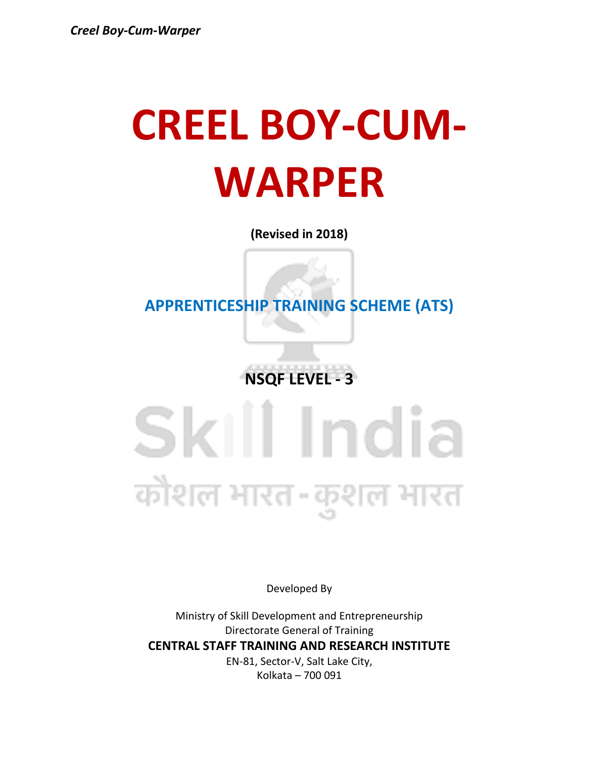## **CREEL BOY-CUM-WARPER**

**(Revised in 2018)**

**APPRENTICESHIP TRAINING SCHEME (ATS)**

**NSQF LEVEL - 3**

## Skill India कोशल भारत-कुशल भारत

Developed By

Ministry of Skill Development and Entrepreneurship Directorate General of Training **CENTRAL STAFF TRAINING AND RESEARCH INSTITUTE** EN-81, Sector-V, Salt Lake City, Kolkata – 700 091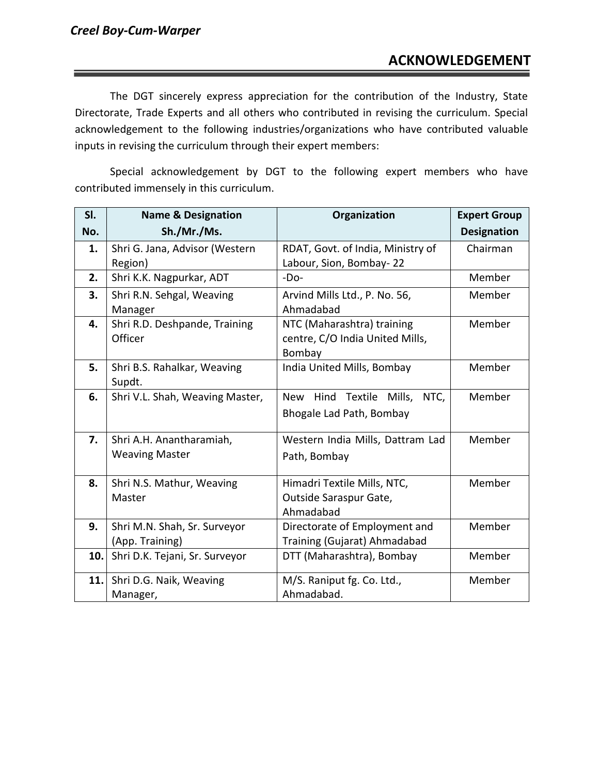The DGT sincerely express appreciation for the contribution of the Industry, State Directorate, Trade Experts and all others who contributed in revising the curriculum. Special acknowledgement to the following industries/organizations who have contributed valuable inputs in revising the curriculum through their expert members:

Special acknowledgement by DGT to the following expert members who have contributed immensely in this curriculum.

| SI. | <b>Name &amp; Designation</b>   | Organization                                 | <b>Expert Group</b> |
|-----|---------------------------------|----------------------------------------------|---------------------|
| No. | Sh./Mr./Ms.                     |                                              | <b>Designation</b>  |
| 1.  | Shri G. Jana, Advisor (Western  | RDAT, Govt. of India, Ministry of            | Chairman            |
|     | Region)                         | Labour, Sion, Bombay-22                      |                     |
| 2.  | Shri K.K. Nagpurkar, ADT        | $-Do-$                                       | Member              |
| 3.  | Shri R.N. Sehgal, Weaving       | Arvind Mills Ltd., P. No. 56,                | Member              |
|     | Manager                         | Ahmadabad                                    |                     |
| 4.  | Shri R.D. Deshpande, Training   | NTC (Maharashtra) training                   | Member              |
|     | Officer                         | centre, C/O India United Mills,              |                     |
|     |                                 | Bombay                                       |                     |
| 5.  | Shri B.S. Rahalkar, Weaving     | India United Mills, Bombay                   | Member              |
|     | Supdt.                          |                                              |                     |
| 6.  | Shri V.L. Shah, Weaving Master, | Hind<br>Textile Mills,<br>NTC,<br><b>New</b> | Member              |
|     |                                 | Bhogale Lad Path, Bombay                     |                     |
|     |                                 |                                              |                     |
| 7.  | Shri A.H. Anantharamiah,        | Western India Mills, Dattram Lad             | Member              |
|     | <b>Weaving Master</b>           | Path, Bombay                                 |                     |
|     |                                 |                                              |                     |
| 8.  | Shri N.S. Mathur, Weaving       | Himadri Textile Mills, NTC,                  | Member              |
|     | Master                          | Outside Saraspur Gate,                       |                     |
|     |                                 | Ahmadabad                                    |                     |
| 9.  | Shri M.N. Shah, Sr. Surveyor    | Directorate of Employment and                | Member              |
|     | (App. Training)                 | Training (Gujarat) Ahmadabad                 |                     |
| 10. | Shri D.K. Tejani, Sr. Surveyor  | DTT (Maharashtra), Bombay                    | Member              |
| 11. | Shri D.G. Naik, Weaving         | M/S. Raniput fg. Co. Ltd.,                   | Member              |
|     | Manager,                        | Ahmadabad.                                   |                     |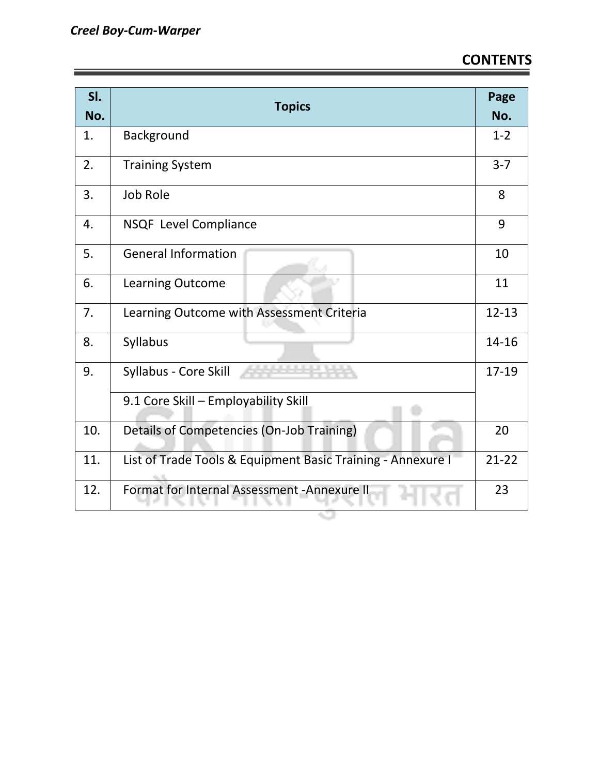| SI.<br>No. | <b>Topics</b>                                               | Page<br>No. |
|------------|-------------------------------------------------------------|-------------|
| 1.         | Background                                                  | $1 - 2$     |
| 2.         | <b>Training System</b>                                      | $3 - 7$     |
| 3.         | Job Role                                                    | 8           |
| 4.         | NSQF Level Compliance                                       | 9           |
| 5.         | <b>General Information</b>                                  | 10          |
| 6.         | Learning Outcome                                            | 11          |
| 7.         | Learning Outcome with Assessment Criteria                   | $12 - 13$   |
| 8.         | Syllabus                                                    | 14-16       |
| 9.         | Syllabus - Core Skill                                       | 17-19       |
|            | 9.1 Core Skill - Employability Skill                        |             |
| 10.        | Details of Competencies (On-Job Training)                   | 20          |
| 11.        | List of Trade Tools & Equipment Basic Training - Annexure I | $21 - 22$   |
| 12.        | Format for Internal Assessment - Annexure II                | 23          |

Ġ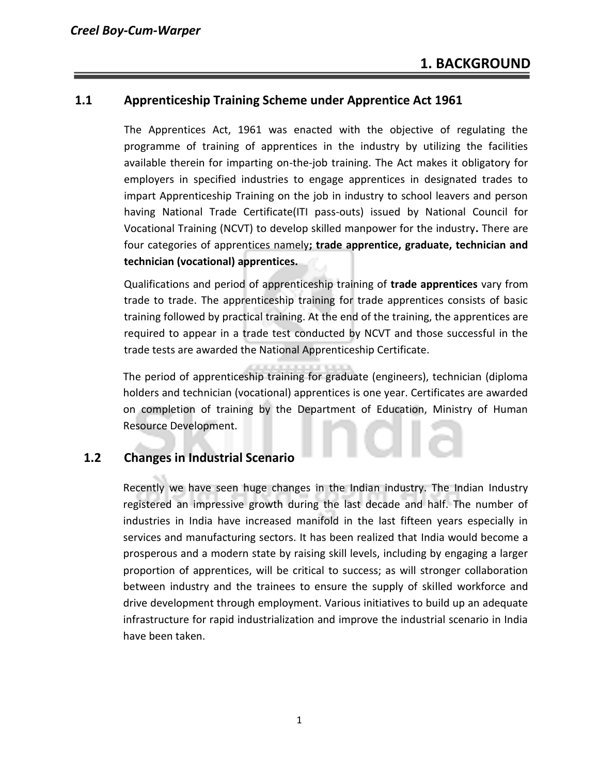#### **1.1 Apprenticeship Training Scheme under Apprentice Act 1961**

The Apprentices Act, 1961 was enacted with the objective of regulating the programme of training of apprentices in the industry by utilizing the facilities available therein for imparting on-the-job training. The Act makes it obligatory for employers in specified industries to engage apprentices in designated trades to impart Apprenticeship Training on the job in industry to school leavers and person having National Trade Certificate(ITI pass-outs) issued by National Council for Vocational Training (NCVT) to develop skilled manpower for the industry**.** There are four categories of apprentices namely**; trade apprentice, graduate, technician and technician (vocational) apprentices.** 

Qualifications and period of apprenticeship training of **trade apprentices** vary from trade to trade. The apprenticeship training for trade apprentices consists of basic training followed by practical training. At the end of the training, the apprentices are required to appear in a trade test conducted by NCVT and those successful in the trade tests are awarded the National Apprenticeship Certificate.

The period of apprenticeship training for graduate (engineers), technician (diploma holders and technician (vocational) apprentices is one year. Certificates are awarded on completion of training by the Department of Education, Ministry of Human Resource Development.

#### **1.2 Changes in Industrial Scenario**

Recently we have seen huge changes in the Indian industry. The Indian Industry registered an impressive growth during the last decade and half. The number of industries in India have increased manifold in the last fifteen years especially in services and manufacturing sectors. It has been realized that India would become a prosperous and a modern state by raising skill levels, including by engaging a larger proportion of apprentices, will be critical to success; as will stronger collaboration between industry and the trainees to ensure the supply of skilled workforce and drive development through employment. Various initiatives to build up an adequate infrastructure for rapid industrialization and improve the industrial scenario in India have been taken.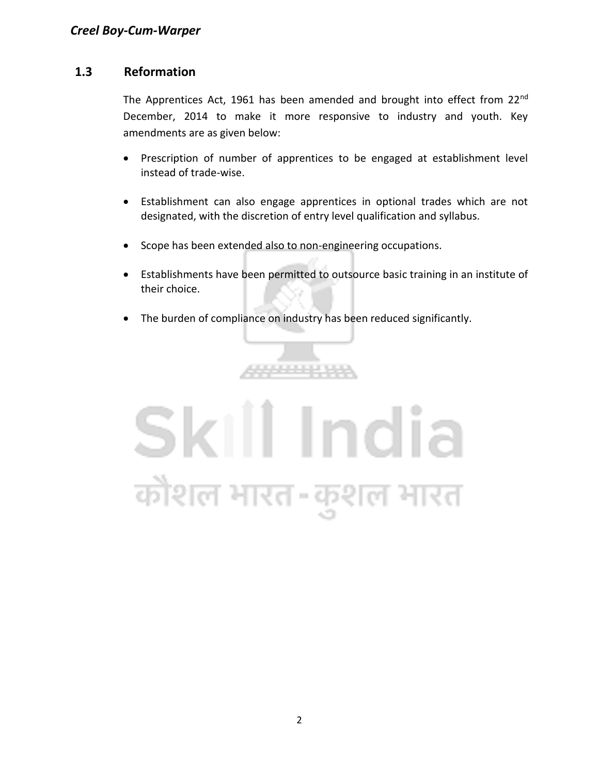#### **1.3 Reformation**

The Apprentices Act, 1961 has been amended and brought into effect from 22<sup>nd</sup> December, 2014 to make it more responsive to industry and youth. Key amendments are as given below:

- Prescription of number of apprentices to be engaged at establishment level instead of trade-wise.
- Establishment can also engage apprentices in optional trades which are not designated, with the discretion of entry level qualification and syllabus.
- Scope has been extended also to non-engineering occupations.
- Establishments have been permitted to outsource basic training in an institute of their choice.
- The burden of compliance on industry has been reduced significantly.

\*\*\*\*\*\*\*\*\*

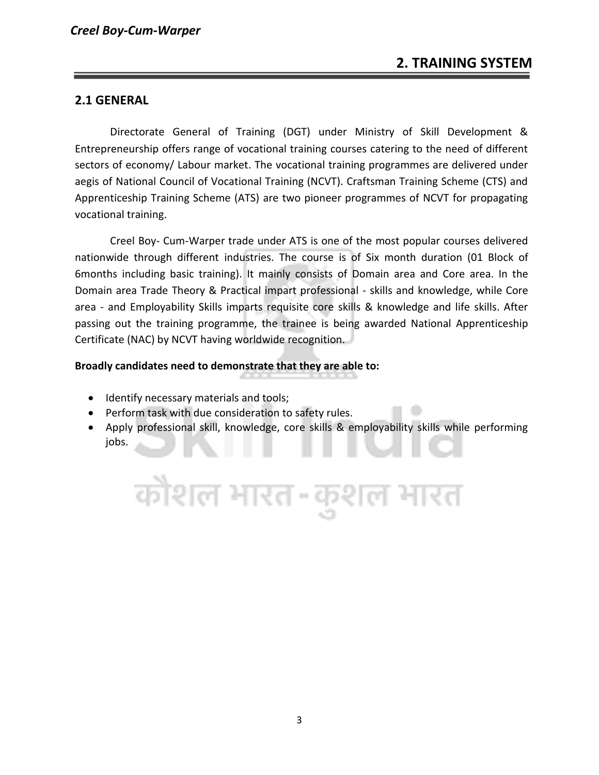#### **2.1 GENERAL**

Directorate General of Training (DGT) under Ministry of Skill Development & Entrepreneurship offers range of vocational training courses catering to the need of different sectors of economy/ Labour market. The vocational training programmes are delivered under aegis of National Council of Vocational Training (NCVT). Craftsman Training Scheme (CTS) and Apprenticeship Training Scheme (ATS) are two pioneer programmes of NCVT for propagating vocational training.

Creel Boy- Cum-Warper trade under ATS is one of the most popular courses delivered nationwide through different industries. The course is of Six month duration (01 Block of 6months including basic training). It mainly consists of Domain area and Core area. In the Domain area Trade Theory & Practical impart professional - skills and knowledge, while Core area - and Employability Skills imparts requisite core skills & knowledge and life skills. After passing out the training programme, the trainee is being awarded National Apprenticeship Certificate (NAC) by NCVT having worldwide recognition.

#### **Broadly candidates need to demonstrate that they are able to:**

- Identify necessary materials and tools;
- Perform task with due consideration to safety rules.
- Apply professional skill, knowledge, core skills & employability skills while performing jobs.

कोशल भारत-कुशल भारत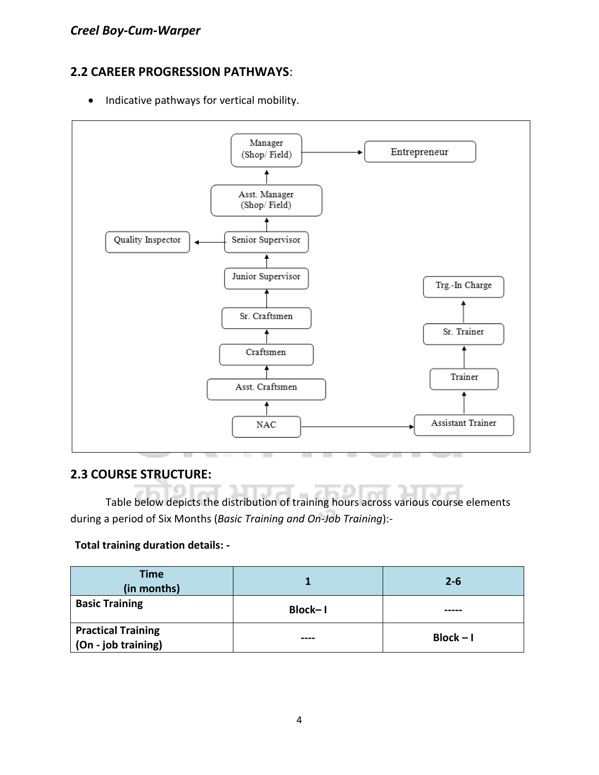#### **2.2 CAREER PROGRESSION PATHWAYS**:

• Indicative pathways for vertical mobility.



#### **2.3 COURSE STRUCTURE:**

Table below depicts the distribution of training hours across various course elements during a period of Six Months (*Basic Training and On-Job Training*):-

#### **Total training duration details: -**

| <b>Time</b><br>(in months)                       |                | $2 - 6$     |
|--------------------------------------------------|----------------|-------------|
| <b>Basic Training</b>                            | <b>Block-1</b> |             |
| <b>Practical Training</b><br>(On - job training) | ----           | $Block - I$ |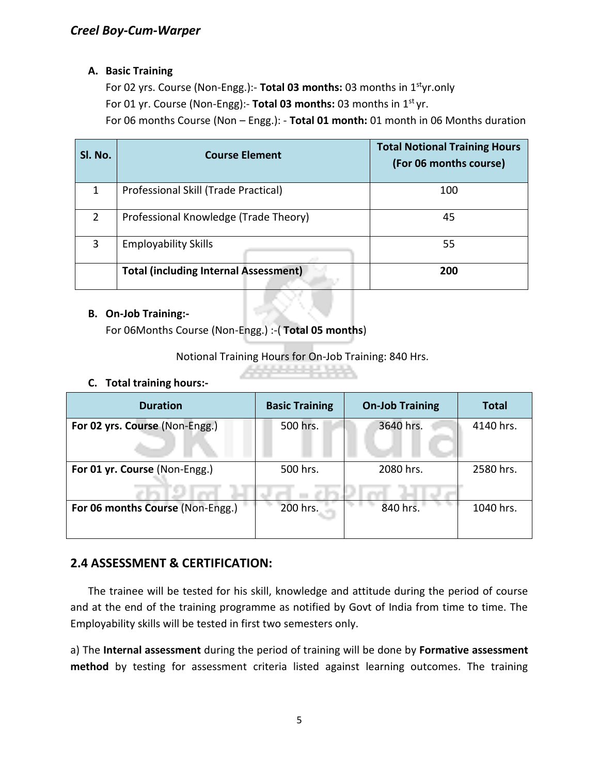#### **A. Basic Training**

For 02 yrs. Course (Non-Engg.):- **Total 03 months:** 03 months in 1styr.only For 01 yr. Course (Non-Engg):- Total 03 months: 03 months in 1<sup>st</sup> yr. For 06 months Course (Non – Engg.): - **Total 01 month:** 01 month in 06 Months duration

| SI. No. | <b>Course Element</b>                        | <b>Total Notional Training Hours</b><br>(For 06 months course) |
|---------|----------------------------------------------|----------------------------------------------------------------|
| 1       | Professional Skill (Trade Practical)         | 100                                                            |
| 2       | Professional Knowledge (Trade Theory)        | 45                                                             |
| 3       | <b>Employability Skills</b>                  | 55                                                             |
|         | <b>Total (including Internal Assessment)</b> | 200                                                            |

#### **B. On-Job Training:-**

For 06Months Course (Non-Engg.) :-( **Total 05 months**)

Notional Training Hours for On-Job Training: 840 Hrs.

#### **C. Total training hours:-**

| <b>Duration</b>                  | <b>Basic Training</b> | <b>On-Job Training</b> | <b>Total</b> |
|----------------------------------|-----------------------|------------------------|--------------|
| For 02 yrs. Course (Non-Engg.)   | 500 hrs.              | 3640 hrs.              | 4140 hrs.    |
| For 01 yr. Course (Non-Engg.)    | 500 hrs.              | 2080 hrs.              | 2580 hrs.    |
| For 06 months Course (Non-Engg.) | 200 hrs.              | 840 hrs.               | 1040 hrs.    |

#### **2.4 ASSESSMENT & CERTIFICATION:**

The trainee will be tested for his skill, knowledge and attitude during the period of course and at the end of the training programme as notified by Govt of India from time to time. The Employability skills will be tested in first two semesters only.

a) The **Internal assessment** during the period of training will be done by **Formative assessment method** by testing for assessment criteria listed against learning outcomes. The training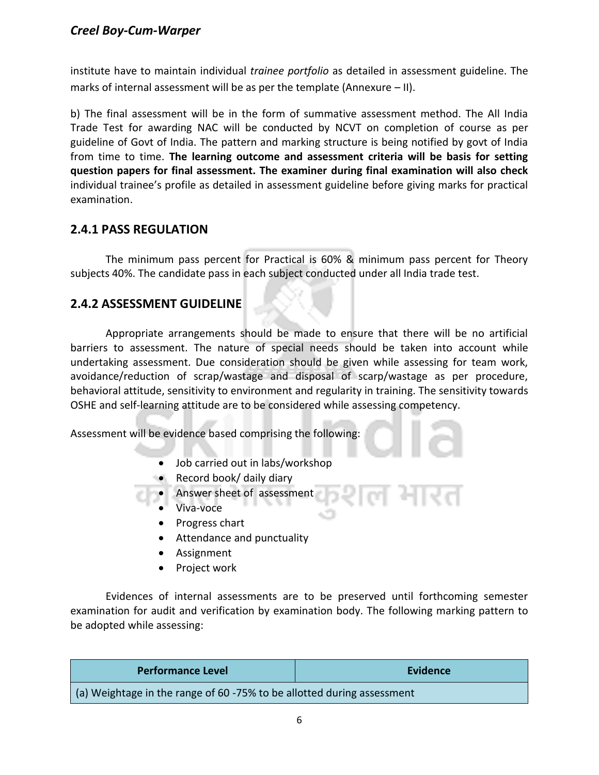institute have to maintain individual *trainee portfolio* as detailed in assessment guideline. The marks of internal assessment will be as per the template (Annexure – II).

b) The final assessment will be in the form of summative assessment method. The All India Trade Test for awarding NAC will be conducted by NCVT on completion of course as per guideline of Govt of India. The pattern and marking structure is being notified by govt of India from time to time. **The learning outcome and assessment criteria will be basis for setting question papers for final assessment. The examiner during final examination will also check**  individual trainee's profile as detailed in assessment guideline before giving marks for practical examination.

#### **2.4.1 PASS REGULATION**

The minimum pass percent for Practical is 60% & minimum pass percent for Theory subjects 40%. The candidate pass in each subject conducted under all India trade test.

#### **2.4.2 ASSESSMENT GUIDELINE**

Appropriate arrangements should be made to ensure that there will be no artificial barriers to assessment. The nature of special needs should be taken into account while undertaking assessment. Due consideration should be given while assessing for team work, avoidance/reduction of scrap/wastage and disposal of scarp/wastage as per procedure, behavioral attitude, sensitivity to environment and regularity in training. The sensitivity towards OSHE and self-learning attitude are to be considered while assessing competency.

Assessment will be evidence based comprising the following:

- Job carried out in labs/workshop
- Record book/ daily diary
- Answer sheet of assessment
	- Viva-voce
	- Progress chart
	- Attendance and punctuality
	- Assignment
	- Project work

Evidences of internal assessments are to be preserved until forthcoming semester examination for audit and verification by examination body. The following marking pattern to be adopted while assessing:

| <b>Performance Level</b>                                                      | <b>Evidence</b> |  |
|-------------------------------------------------------------------------------|-----------------|--|
| $\mid$ (a) Weightage in the range of 60 -75% to be allotted during assessment |                 |  |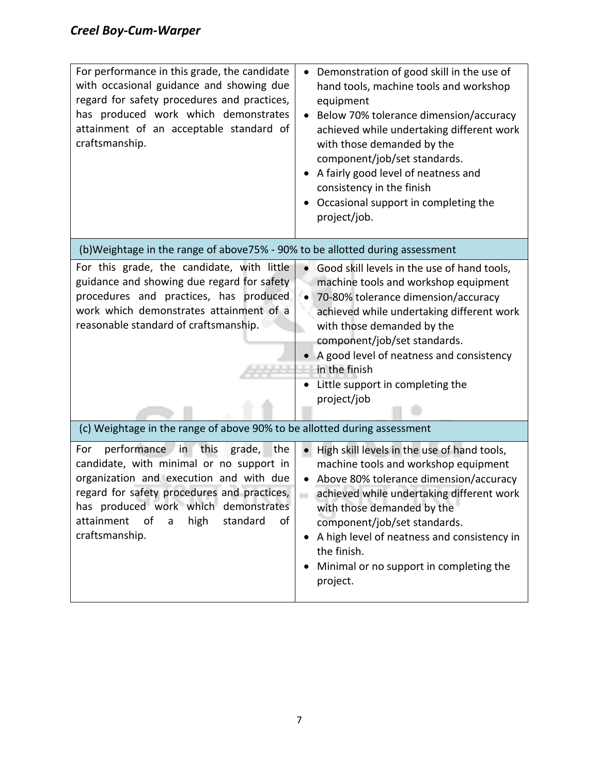| For performance in this grade, the candidate<br>with occasional guidance and showing due<br>regard for safety procedures and practices,<br>has produced work which demonstrates<br>attainment of an acceptable standard of<br>craftsmanship.                                                       | Demonstration of good skill in the use of<br>hand tools, machine tools and workshop<br>equipment<br>Below 70% tolerance dimension/accuracy<br>achieved while undertaking different work<br>with those demanded by the<br>component/job/set standards.<br>A fairly good level of neatness and<br>consistency in the finish<br>Occasional support in completing the<br>project/job.            |
|----------------------------------------------------------------------------------------------------------------------------------------------------------------------------------------------------------------------------------------------------------------------------------------------------|----------------------------------------------------------------------------------------------------------------------------------------------------------------------------------------------------------------------------------------------------------------------------------------------------------------------------------------------------------------------------------------------|
| (b) Weightage in the range of above 75% - 90% to be allotted during assessment                                                                                                                                                                                                                     |                                                                                                                                                                                                                                                                                                                                                                                              |
| For this grade, the candidate, with little<br>guidance and showing due regard for safety<br>procedures and practices, has produced<br>work which demonstrates attainment of a<br>reasonable standard of craftsmanship.<br>(c) Weightage in the range of above 90% to be allotted during assessment | Good skill levels in the use of hand tools,<br>$\bullet$<br>machine tools and workshop equipment<br>70-80% tolerance dimension/accuracy<br>$\bullet$<br>achieved while undertaking different work<br>with those demanded by the<br>component/job/set standards.<br>A good level of neatness and consistency<br>$\bullet$<br>in the finish<br>Little support in completing the<br>project/job |
| performance in<br>For<br>this<br>the<br>grade,<br>candidate, with minimal or no support in<br>organization and execution and with due<br>regard for safety procedures and practices,<br>has produced work which demonstrates<br>attainment<br>of<br>high<br>standard<br>of<br>a<br>craftsmanship.  | High skill levels in the use of hand tools,<br>$\bullet$<br>machine tools and workshop equipment<br>Above 80% tolerance dimension/accuracy<br>achieved while undertaking different work<br>with those demanded by the<br>component/job/set standards.<br>A high level of neatness and consistency in<br>the finish.<br>Minimal or no support in completing the<br>project.                   |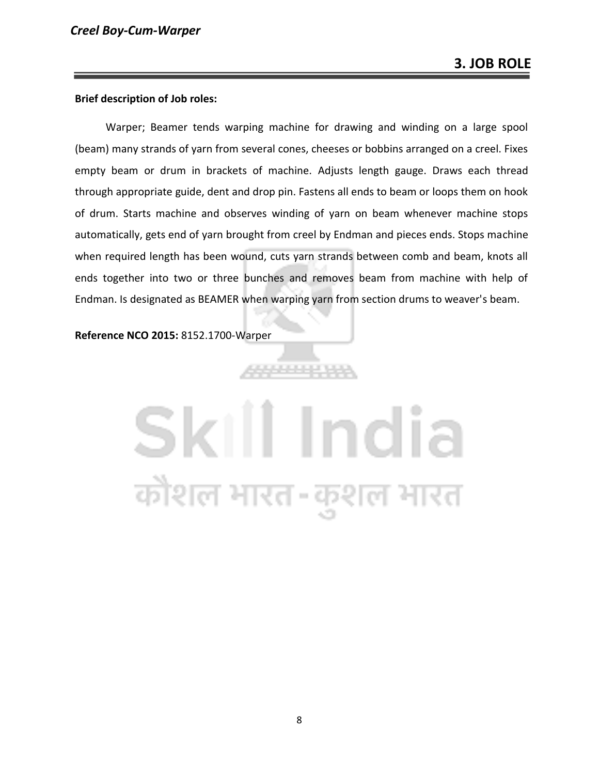#### **Brief description of Job roles:**

Warper; Beamer tends warping machine for drawing and winding on a large spool (beam) many strands of yarn from several cones, cheeses or bobbins arranged on a creel. Fixes empty beam or drum in brackets of machine. Adjusts length gauge. Draws each thread through appropriate guide, dent and drop pin. Fastens all ends to beam or loops them on hook of drum. Starts machine and observes winding of yarn on beam whenever machine stops automatically, gets end of yarn brought from creel by Endman and pieces ends. Stops machine when required length has been wound, cuts yarn strands between comb and beam, knots all ends together into two or three bunches and removes beam from machine with help of Endman. Is designated as BEAMER when warping yarn from section drums to weaver's beam.

**Reference NCO 2015:** 8152.1700-Warper

# Skill India कौशल भारत-कुशल भारत

88888888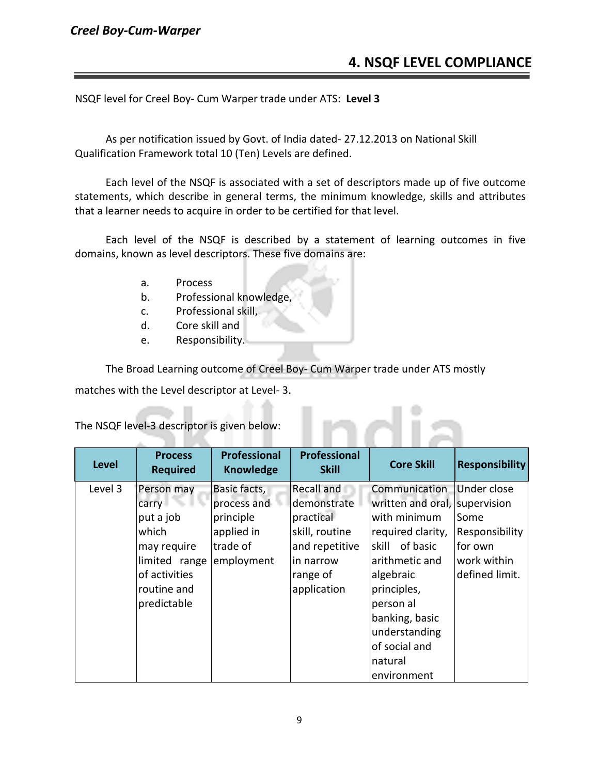#### *Creel Boy-Cum-Warper*

#### **4. NSQF LEVEL COMPLIANCE**

NSQF level for Creel Boy- Cum Warper trade under ATS: **Level 3**

As per notification issued by Govt. of India dated- 27.12.2013 on National Skill Qualification Framework total 10 (Ten) Levels are defined.

Each level of the NSQF is associated with a set of descriptors made up of five outcome statements, which describe in general terms, the minimum knowledge, skills and attributes that a learner needs to acquire in order to be certified for that level.

Each level of the NSQF is described by a statement of learning outcomes in five domains, known as level descriptors. These five domains are:

- a. Process
- b. Professional knowledge,
- c. Professional skill,
- d. Core skill and
- e. Responsibility.

The Broad Learning outcome of Creel Boy- Cum Warper trade under ATS mostly

nn

matches with the Level descriptor at Level- 3.

The NSQF level-3 descriptor is given below:

| <b>Level</b> | <b>Process</b><br><b>Required</b>                                                                                        | <b>Professional</b><br><b>Knowledge</b>                                          | <b>Professional</b><br><b>Skill</b>                                                                                | <b>Core Skill</b>                                                                                                                                                                                                               | <b>Responsibility</b>                                                             |
|--------------|--------------------------------------------------------------------------------------------------------------------------|----------------------------------------------------------------------------------|--------------------------------------------------------------------------------------------------------------------|---------------------------------------------------------------------------------------------------------------------------------------------------------------------------------------------------------------------------------|-----------------------------------------------------------------------------------|
| Level 3      | Person may<br>carry<br>put a job<br>which<br>may require<br>limited range<br>of activities<br>routine and<br>predictable | Basic facts,<br>process and<br>principle<br>applied in<br>trade of<br>employment | Recall and<br>demonstrate<br>practical<br>skill, routine<br>and repetitive<br>in narrow<br>range of<br>application | Communication<br>written and oral, supervision<br>with minimum<br>required clarity,<br>skill of basic<br>arithmetic and<br>algebraic<br>principles,<br>person al<br>banking, basic<br>understanding<br>of social and<br>natural | Under close<br>Some<br>Responsibility<br>for own<br>work within<br>defined limit. |
|              |                                                                                                                          |                                                                                  |                                                                                                                    | environment                                                                                                                                                                                                                     |                                                                                   |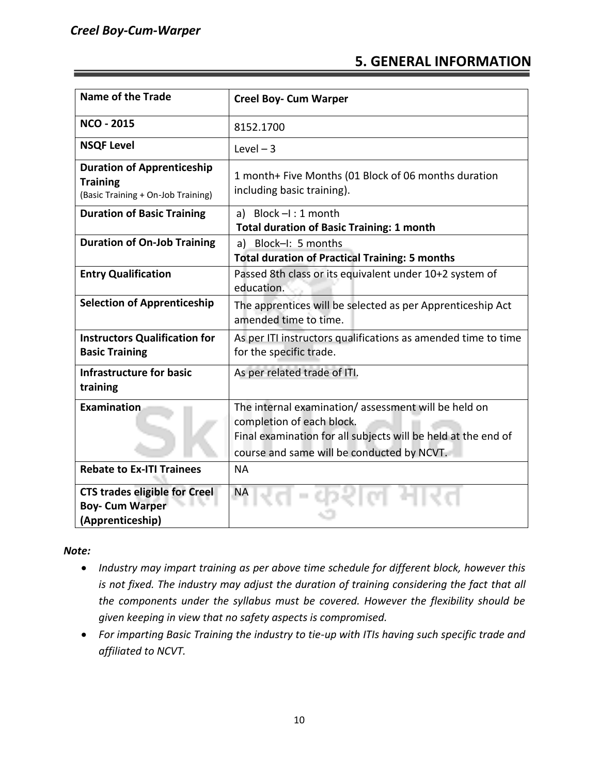#### **5. GENERAL INFORMATION**

| <b>Name of the Trade</b>                                                                   | <b>Creel Boy- Cum Warper</b>                                                                                                                                                                    |  |
|--------------------------------------------------------------------------------------------|-------------------------------------------------------------------------------------------------------------------------------------------------------------------------------------------------|--|
| <b>NCO - 2015</b>                                                                          | 8152.1700                                                                                                                                                                                       |  |
| <b>NSQF Level</b>                                                                          | Level $-3$                                                                                                                                                                                      |  |
| <b>Duration of Apprenticeship</b><br><b>Training</b><br>(Basic Training + On-Job Training) | 1 month+ Five Months (01 Block of 06 months duration<br>including basic training).                                                                                                              |  |
| <b>Duration of Basic Training</b>                                                          | a) Block $-l:1$ month<br><b>Total duration of Basic Training: 1 month</b>                                                                                                                       |  |
| <b>Duration of On-Job Training</b>                                                         | a) Block-I: 5 months<br><b>Total duration of Practical Training: 5 months</b>                                                                                                                   |  |
| <b>Entry Qualification</b>                                                                 | Passed 8th class or its equivalent under 10+2 system of<br>education.                                                                                                                           |  |
| <b>Selection of Apprenticeship</b>                                                         | The apprentices will be selected as per Apprenticeship Act<br>amended time to time.                                                                                                             |  |
| <b>Instructors Qualification for</b><br><b>Basic Training</b>                              | As per ITI instructors qualifications as amended time to time<br>for the specific trade.                                                                                                        |  |
| <b>Infrastructure for basic</b><br>training                                                | As per related trade of ITI.                                                                                                                                                                    |  |
| Examination                                                                                | The internal examination/assessment will be held on<br>completion of each block.<br>Final examination for all subjects will be held at the end of<br>course and same will be conducted by NCVT. |  |
| <b>Rebate to Ex-ITI Trainees</b>                                                           | <b>NA</b>                                                                                                                                                                                       |  |
| <b>CTS trades eligible for Creel</b><br><b>Boy- Cum Warper</b><br>(Apprenticeship)         | NA                                                                                                                                                                                              |  |

*Note:*

- *Industry may impart training as per above time schedule for different block, however this is not fixed. The industry may adjust the duration of training considering the fact that all the components under the syllabus must be covered. However the flexibility should be given keeping in view that no safety aspects is compromised.*
- *For imparting Basic Training the industry to tie-up with ITIs having such specific trade and affiliated to NCVT.*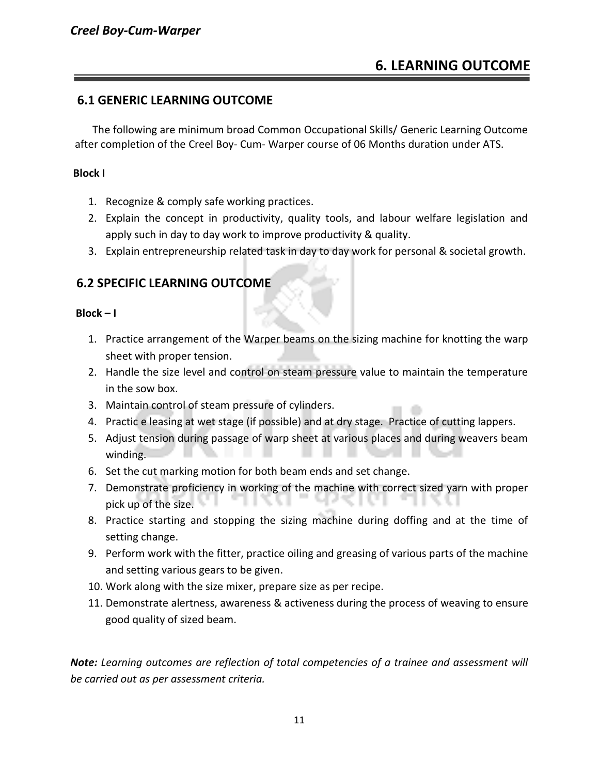#### **6.1 GENERIC LEARNING OUTCOME**

The following are minimum broad Common Occupational Skills/ Generic Learning Outcome after completion of the Creel Boy- Cum- Warper course of 06 Months duration under ATS.

#### **Block I**

- 1. Recognize & comply safe working practices.
- 2. Explain the concept in productivity, quality tools, and labour welfare legislation and apply such in day to day work to improve productivity & quality.
- 3. Explain entrepreneurship related task in day to day work for personal & societal growth.

#### **6.2 SPECIFIC LEARNING OUTCOME**

#### **Block – I**

- 1. Practice arrangement of the Warper beams on the sizing machine for knotting the warp sheet with proper tension.
- 2. Handle the size level and control on steam pressure value to maintain the temperature in the sow box.
- 3. Maintain control of steam pressure of cylinders.
- 4. Practic e leasing at wet stage (if possible) and at dry stage. Practice of cutting lappers.
- 5. Adjust tension during passage of warp sheet at various places and during weavers beam winding.
- 6. Set the cut marking motion for both beam ends and set change.
- 7. Demonstrate proficiency in working of the machine with correct sized yarn with proper pick up of the size.
- 8. Practice starting and stopping the sizing machine during doffing and at the time of setting change.
- 9. Perform work with the fitter, practice oiling and greasing of various parts of the machine and setting various gears to be given.
- 10. Work along with the size mixer, prepare size as per recipe.
- 11. Demonstrate alertness, awareness & activeness during the process of weaving to ensure good quality of sized beam.

*Note: Learning outcomes are reflection of total competencies of a trainee and assessment will be carried out as per assessment criteria.*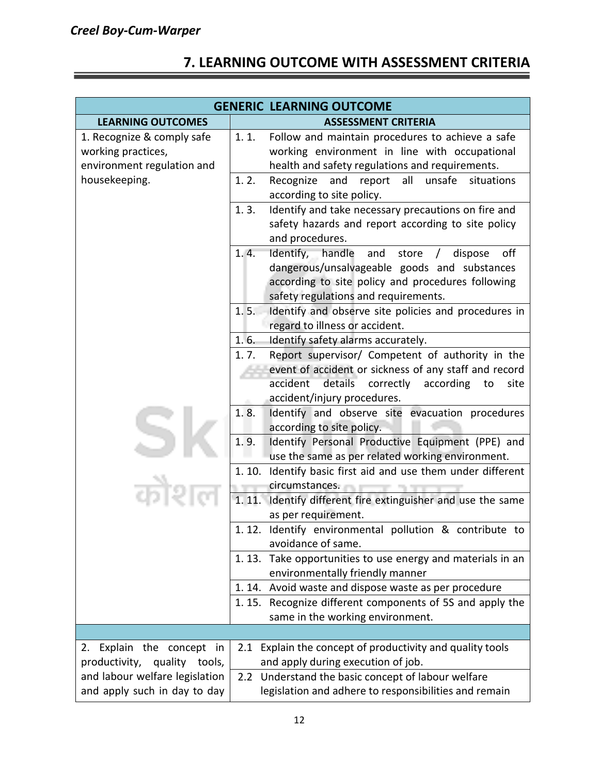### **7. LEARNING OUTCOME WITH ASSESSMENT CRITERIA**

| <b>GENERIC LEARNING OUTCOME</b>                                                                 |                                                                                                                                                                                                                                                                |  |
|-------------------------------------------------------------------------------------------------|----------------------------------------------------------------------------------------------------------------------------------------------------------------------------------------------------------------------------------------------------------------|--|
| <b>LEARNING OUTCOMES</b>                                                                        | <b>ASSESSMENT CRITERIA</b>                                                                                                                                                                                                                                     |  |
| 1. Recognize & comply safe<br>working practices,<br>environment regulation and<br>housekeeping. | 1.1.<br>Follow and maintain procedures to achieve a safe<br>working environment in line with occupational<br>health and safety regulations and requirements.<br>1.2.<br>Recognize<br>and<br>all<br>unsafe<br>situations<br>report<br>according to site policy. |  |
|                                                                                                 | 1.3.<br>Identify and take necessary precautions on fire and<br>safety hazards and report according to site policy<br>and procedures.                                                                                                                           |  |
|                                                                                                 | Identify, handle<br>1.4.<br>and<br>store<br>off<br>dispose<br>$\prime$<br>dangerous/unsalvageable goods and substances<br>according to site policy and procedures following<br>safety regulations and requirements.                                            |  |
|                                                                                                 | Identify and observe site policies and procedures in<br>1.5.<br>regard to illness or accident.                                                                                                                                                                 |  |
|                                                                                                 | Identify safety alarms accurately.<br>1.6.                                                                                                                                                                                                                     |  |
|                                                                                                 | Report supervisor/ Competent of authority in the<br>1.7.<br>event of accident or sickness of any staff and record<br>accident details<br>correctly<br>according<br>to<br>site<br>accident/injury procedures.                                                   |  |
|                                                                                                 | Identify and observe site evacuation procedures<br>1.8.<br>according to site policy.<br>1.9.<br>Identify Personal Productive Equipment (PPE) and<br>use the same as per related working environment.                                                           |  |
|                                                                                                 | Identify basic first aid and use them under different<br>1.10.<br>circumstances.                                                                                                                                                                               |  |
|                                                                                                 | 1.11.<br>Identify different fire extinguisher and use the same<br>as per requirement.                                                                                                                                                                          |  |
|                                                                                                 | 1.12. Identify environmental pollution & contribute to<br>avoidance of same.                                                                                                                                                                                   |  |
|                                                                                                 | 1.13. Take opportunities to use energy and materials in an<br>environmentally friendly manner                                                                                                                                                                  |  |
|                                                                                                 | 1.14. Avoid waste and dispose waste as per procedure                                                                                                                                                                                                           |  |
|                                                                                                 | 1.15. Recognize different components of 5S and apply the<br>same in the working environment.                                                                                                                                                                   |  |
|                                                                                                 |                                                                                                                                                                                                                                                                |  |
| 2. Explain the concept in<br>productivity,<br>quality tools,                                    | 2.1 Explain the concept of productivity and quality tools<br>and apply during execution of job.                                                                                                                                                                |  |
| and labour welfare legislation<br>and apply such in day to day                                  | 2.2 Understand the basic concept of labour welfare<br>legislation and adhere to responsibilities and remain                                                                                                                                                    |  |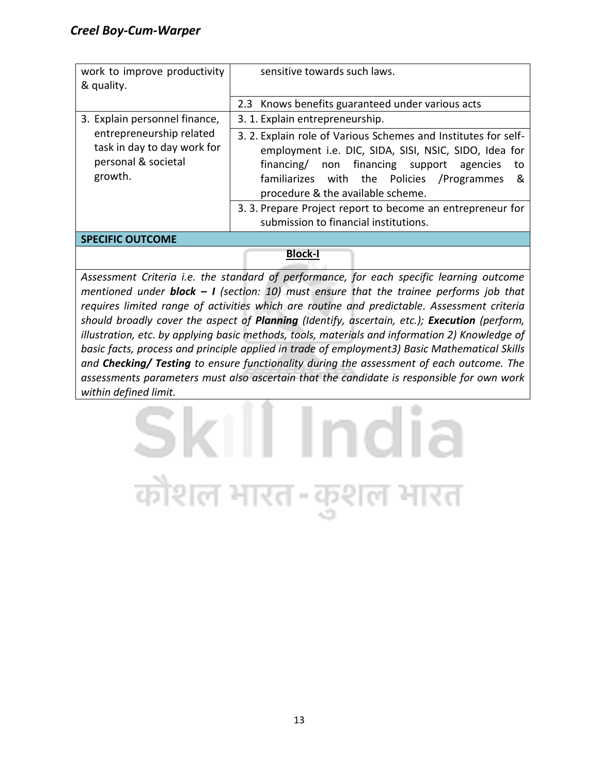| work to improve productivity<br>& quality.                                                | sensitive towards such laws.                                                                                                                                                                                                                                        |  |
|-------------------------------------------------------------------------------------------|---------------------------------------------------------------------------------------------------------------------------------------------------------------------------------------------------------------------------------------------------------------------|--|
| 3. Explain personnel finance,                                                             | 2.3 Knows benefits guaranteed under various acts<br>3. 1. Explain entrepreneurship.                                                                                                                                                                                 |  |
| entrepreneurship related<br>task in day to day work for<br>personal & societal<br>growth. | 3. 2. Explain role of Various Schemes and Institutes for self-<br>employment i.e. DIC, SIDA, SISI, NSIC, SIDO, Idea for<br>financing/ non financing support agencies<br>to<br>familiarizes with the Policies /Programmes<br>୍ଷ<br>procedure & the available scheme. |  |
|                                                                                           | 3. 3. Prepare Project report to become an entrepreneur for<br>submission to financial institutions.                                                                                                                                                                 |  |
| <b>SPECIFIC OUTCOME</b>                                                                   |                                                                                                                                                                                                                                                                     |  |

**Block-I**

*Assessment Criteria i.e. the standard of performance, for each specific learning outcome mentioned under block – I (section: 10) must ensure that the trainee performs job that requires limited range of activities which are routine and predictable. Assessment criteria should broadly cover the aspect of Planning (Identify, ascertain, etc.); Execution (perform, illustration, etc. by applying basic methods, tools, materials and information 2) Knowledge of basic facts, process and principle applied in trade of employment3) Basic Mathematical Skills and Checking/ Testing to ensure functionality during the assessment of each outcome. The assessments parameters must also ascertain that the candidate is responsible for own work within defined limit.*

## III Indi कौशल भारत-कुश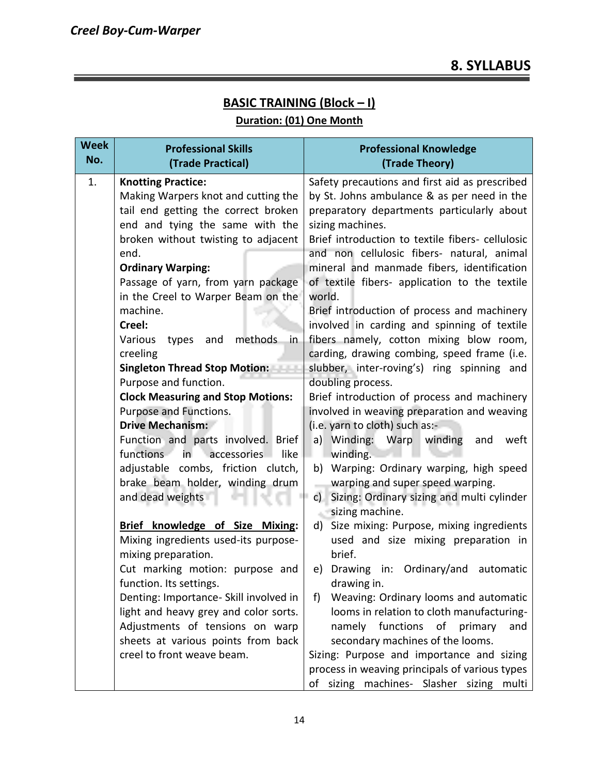#### **BASIC TRAINING (Block – I)**

#### **Duration: (01) One Month**

| <b>Week</b><br>No. | <b>Professional Skills</b><br>(Trade Practical)                   | <b>Professional Knowledge</b><br>(Trade Theory)                  |
|--------------------|-------------------------------------------------------------------|------------------------------------------------------------------|
| 1.                 | <b>Knotting Practice:</b>                                         | Safety precautions and first aid as prescribed                   |
|                    | Making Warpers knot and cutting the                               | by St. Johns ambulance & as per need in the                      |
|                    | tail end getting the correct broken                               | preparatory departments particularly about                       |
|                    | end and tying the same with the                                   | sizing machines.                                                 |
|                    | broken without twisting to adjacent                               | Brief introduction to textile fibers- cellulosic                 |
|                    | end.                                                              | and non cellulosic fibers- natural, animal                       |
|                    | <b>Ordinary Warping:</b>                                          | mineral and manmade fibers, identification                       |
|                    | Passage of yarn, from yarn package                                | of textile fibers- application to the textile                    |
|                    | in the Creel to Warper Beam on the                                | world.                                                           |
|                    | machine.                                                          | Brief introduction of process and machinery                      |
|                    | Creel:                                                            | involved in carding and spinning of textile                      |
|                    | methods<br>Various<br>types<br>and<br>in.                         | fibers namely, cotton mixing blow room,                          |
|                    | creeling                                                          | carding, drawing combing, speed frame (i.e.                      |
|                    | Singleton Thread Stop Motion:                                     | slubber, inter-roving's) ring spinning and                       |
|                    | Purpose and function.<br><b>Clock Measuring and Stop Motions:</b> | doubling process.<br>Brief introduction of process and machinery |
|                    | Purpose and Functions.                                            | involved in weaving preparation and weaving                      |
|                    | <b>Drive Mechanism:</b>                                           | (i.e. yarn to cloth) such as:-                                   |
|                    | Function and parts involved. Brief                                | a) Winding: Warp winding<br>weft<br>and                          |
|                    | functions<br>accessories<br>like<br>in I                          | winding.                                                         |
|                    | adjustable combs, friction clutch,                                | b) Warping: Ordinary warping, high speed                         |
|                    | brake beam holder, winding drum                                   | warping and super speed warping.                                 |
|                    | and dead weights                                                  | Sizing: Ordinary sizing and multi cylinder<br>$c$ )              |
|                    |                                                                   | sizing machine.                                                  |
|                    | Brief knowledge of Size Mixing:                                   | d) Size mixing: Purpose, mixing ingredients                      |
|                    | Mixing ingredients used-its purpose-                              | used and size mixing preparation in                              |
|                    | mixing preparation.                                               | brief.                                                           |
|                    | Cut marking motion: purpose and                                   | e) Drawing in: Ordinary/and<br>automatic                         |
|                    | function. Its settings.                                           | drawing in.                                                      |
|                    | Denting: Importance- Skill involved in                            | Weaving: Ordinary looms and automatic<br>f)                      |
|                    | light and heavy grey and color sorts.                             | looms in relation to cloth manufacturing-                        |
|                    | Adjustments of tensions on warp                                   | functions<br>namely<br>οf<br>primary<br>and                      |
|                    | sheets at various points from back                                | secondary machines of the looms.                                 |
|                    | creel to front weave beam.                                        | Sizing: Purpose and importance and sizing                        |
|                    |                                                                   | process in weaving principals of various types                   |
|                    |                                                                   | of<br>sizing machines- Slasher sizing<br>multi                   |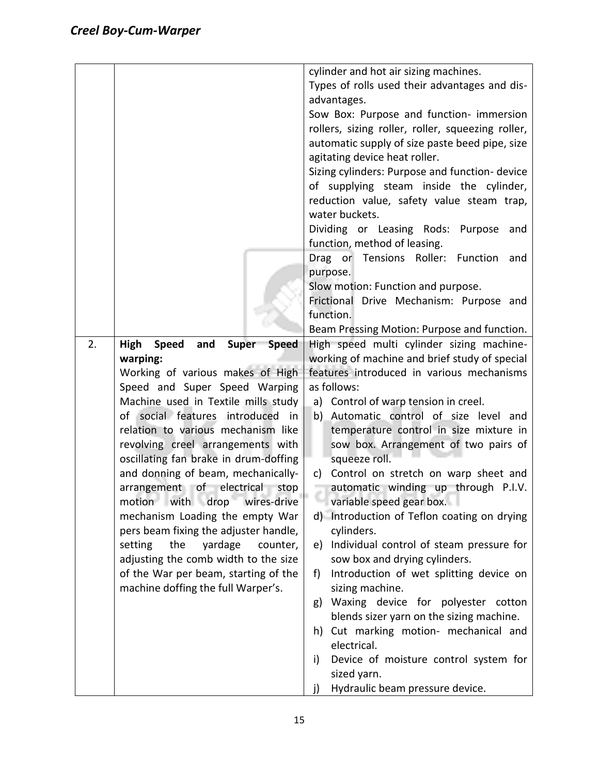|    |                                                                                                                                                                                                                                                                                                                                                                                                                                                                                                                                                                                                                                                                                                          | cylinder and hot air sizing machines.<br>Types of rolls used their advantages and dis-<br>advantages.<br>Sow Box: Purpose and function- immersion<br>rollers, sizing roller, roller, squeezing roller,<br>automatic supply of size paste beed pipe, size<br>agitating device heat roller.<br>Sizing cylinders: Purpose and function- device<br>of supplying steam inside the cylinder,<br>reduction value, safety value steam trap,<br>water buckets.<br>Dividing or Leasing Rods: Purpose<br>and                                                                                                                                                                                                                                                                                                                                                                                                                                       |
|----|----------------------------------------------------------------------------------------------------------------------------------------------------------------------------------------------------------------------------------------------------------------------------------------------------------------------------------------------------------------------------------------------------------------------------------------------------------------------------------------------------------------------------------------------------------------------------------------------------------------------------------------------------------------------------------------------------------|-----------------------------------------------------------------------------------------------------------------------------------------------------------------------------------------------------------------------------------------------------------------------------------------------------------------------------------------------------------------------------------------------------------------------------------------------------------------------------------------------------------------------------------------------------------------------------------------------------------------------------------------------------------------------------------------------------------------------------------------------------------------------------------------------------------------------------------------------------------------------------------------------------------------------------------------|
|    |                                                                                                                                                                                                                                                                                                                                                                                                                                                                                                                                                                                                                                                                                                          | function, method of leasing.<br>Drag or Tensions Roller: Function<br>and<br>purpose.<br>Slow motion: Function and purpose.<br>Frictional Drive Mechanism: Purpose and<br>function.<br>Beam Pressing Motion: Purpose and function.                                                                                                                                                                                                                                                                                                                                                                                                                                                                                                                                                                                                                                                                                                       |
| 2. | <b>High</b><br><b>Speed</b><br>and<br><b>Speed</b><br><b>Super</b><br>warping:<br>Working of various makes of High<br>Speed and Super Speed Warping<br>Machine used in Textile mills study<br>of social features introduced<br>in<br>relation to various mechanism like<br>revolving creel arrangements with<br>oscillating fan brake in drum-doffing<br>and donning of beam, mechanically-<br>arrangement of electrical stop<br>motion with drop wires-drive<br>mechanism Loading the empty War<br>pers beam fixing the adjuster handle,<br>yardage<br>setting<br>the<br>counter,<br>adjusting the comb width to the size<br>of the War per beam, starting of the<br>machine doffing the full Warper's. | High speed multi cylinder sizing machine-<br>working of machine and brief study of special<br>features introduced in various mechanisms<br>as follows:<br>a) Control of warp tension in creel.<br>b) Automatic control of size level and<br>temperature control in size mixture in<br>sow box. Arrangement of two pairs of<br>squeeze roll.<br>Control on stretch on warp sheet and<br>c)<br>automatic winding up through P.I.V.<br>variable speed gear box.<br>d) Introduction of Teflon coating on drying<br>cylinders.<br>Individual control of steam pressure for<br>e)<br>sow box and drying cylinders.<br>Introduction of wet splitting device on<br>f)<br>sizing machine.<br>Waxing device for polyester cotton<br>g)<br>blends sizer yarn on the sizing machine.<br>h) Cut marking motion- mechanical and<br>electrical.<br>Device of moisture control system for<br>i)<br>sized yarn.<br>Hydraulic beam pressure device.<br>j) |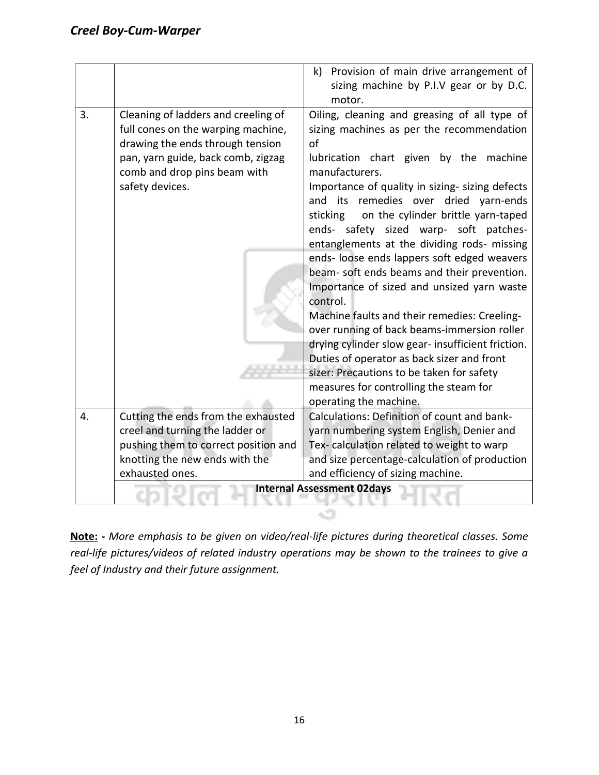|    |                                      | k) Provision of main drive arrangement of<br>sizing machine by P.I.V gear or by D.C.            |  |  |  |  |  |  |  |  |
|----|--------------------------------------|-------------------------------------------------------------------------------------------------|--|--|--|--|--|--|--|--|
|    |                                      | motor.                                                                                          |  |  |  |  |  |  |  |  |
| 3. | Cleaning of ladders and creeling of  | Oiling, cleaning and greasing of all type of                                                    |  |  |  |  |  |  |  |  |
|    | full cones on the warping machine,   | sizing machines as per the recommendation                                                       |  |  |  |  |  |  |  |  |
|    | drawing the ends through tension     | of                                                                                              |  |  |  |  |  |  |  |  |
|    | pan, yarn guide, back comb, zigzag   | lubrication chart given by the machine                                                          |  |  |  |  |  |  |  |  |
|    | comb and drop pins beam with         | manufacturers.                                                                                  |  |  |  |  |  |  |  |  |
|    | safety devices.                      | Importance of quality in sizing- sizing defects                                                 |  |  |  |  |  |  |  |  |
|    |                                      | its remedies over dried yarn-ends<br>and                                                        |  |  |  |  |  |  |  |  |
|    |                                      | on the cylinder brittle yarn-taped<br>sticking                                                  |  |  |  |  |  |  |  |  |
|    |                                      | ends- safety sized warp- soft patches-                                                          |  |  |  |  |  |  |  |  |
|    |                                      | entanglements at the dividing rods- missing                                                     |  |  |  |  |  |  |  |  |
|    |                                      | ends- loose ends lappers soft edged weavers                                                     |  |  |  |  |  |  |  |  |
|    |                                      | beam- soft ends beams and their prevention.                                                     |  |  |  |  |  |  |  |  |
|    |                                      | Importance of sized and unsized yarn waste<br>control.                                          |  |  |  |  |  |  |  |  |
|    |                                      | Machine faults and their remedies: Creeling-                                                    |  |  |  |  |  |  |  |  |
|    |                                      | over running of back beams-immersion roller                                                     |  |  |  |  |  |  |  |  |
|    |                                      |                                                                                                 |  |  |  |  |  |  |  |  |
|    |                                      | drying cylinder slow gear- insufficient friction.<br>Duties of operator as back sizer and front |  |  |  |  |  |  |  |  |
|    |                                      | sizer: Precautions to be taken for safety                                                       |  |  |  |  |  |  |  |  |
|    |                                      | measures for controlling the steam for                                                          |  |  |  |  |  |  |  |  |
|    |                                      | operating the machine.                                                                          |  |  |  |  |  |  |  |  |
| 4. | Cutting the ends from the exhausted  | Calculations: Definition of count and bank-                                                     |  |  |  |  |  |  |  |  |
|    | creel and turning the ladder or      | yarn numbering system English, Denier and                                                       |  |  |  |  |  |  |  |  |
|    | pushing them to correct position and | Tex-calculation related to weight to warp                                                       |  |  |  |  |  |  |  |  |
|    | knotting the new ends with the       | and size percentage-calculation of production                                                   |  |  |  |  |  |  |  |  |
|    | exhausted ones.                      | and efficiency of sizing machine.                                                               |  |  |  |  |  |  |  |  |
|    |                                      |                                                                                                 |  |  |  |  |  |  |  |  |
|    | <b>Internal Assessment 02days</b>    |                                                                                                 |  |  |  |  |  |  |  |  |

**Note: -** *More emphasis to be given on video/real-life pictures during theoretical classes. Some real-life pictures/videos of related industry operations may be shown to the trainees to give a feel of Industry and their future assignment.*

وتي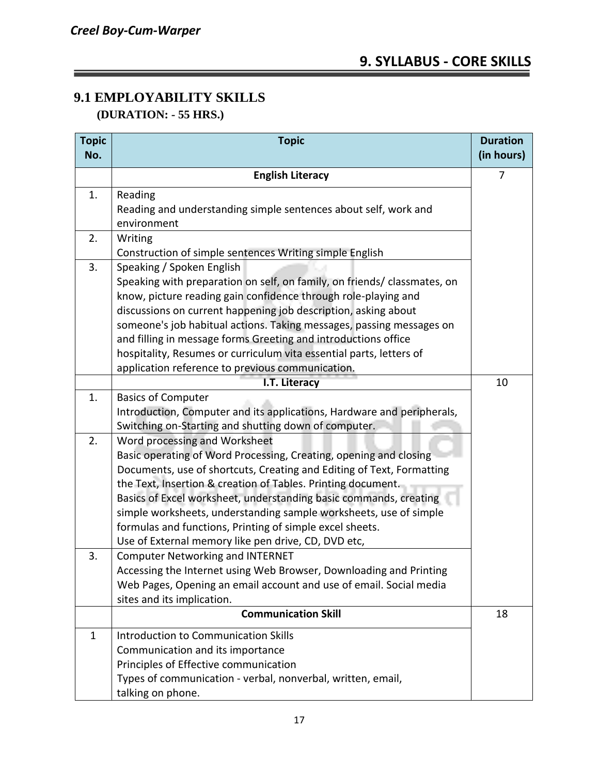#### **9.1 EMPLOYABILITY SKILLS (DURATION: - 55 HRS.)**

| <b>Topic</b><br>No. | <b>Topic</b>                                                             |    |  |  |  |  |
|---------------------|--------------------------------------------------------------------------|----|--|--|--|--|
|                     |                                                                          |    |  |  |  |  |
|                     | <b>English Literacy</b>                                                  |    |  |  |  |  |
| 1.                  | Reading                                                                  |    |  |  |  |  |
|                     | Reading and understanding simple sentences about self, work and          |    |  |  |  |  |
|                     | environment                                                              |    |  |  |  |  |
| 2.                  | Writing                                                                  |    |  |  |  |  |
|                     | Construction of simple sentences Writing simple English                  |    |  |  |  |  |
| 3.                  | Speaking / Spoken English                                                |    |  |  |  |  |
|                     | Speaking with preparation on self, on family, on friends/ classmates, on |    |  |  |  |  |
|                     | know, picture reading gain confidence through role-playing and           |    |  |  |  |  |
|                     | discussions on current happening job description, asking about           |    |  |  |  |  |
|                     | someone's job habitual actions. Taking messages, passing messages on     |    |  |  |  |  |
|                     | and filling in message forms Greeting and introductions office           |    |  |  |  |  |
|                     | hospitality, Resumes or curriculum vita essential parts, letters of      |    |  |  |  |  |
|                     | application reference to previous communication.                         |    |  |  |  |  |
|                     | I.T. Literacy                                                            |    |  |  |  |  |
| 1.                  | <b>Basics of Computer</b>                                                |    |  |  |  |  |
|                     | Introduction, Computer and its applications, Hardware and peripherals,   |    |  |  |  |  |
|                     | Switching on-Starting and shutting down of computer.                     |    |  |  |  |  |
| 2.                  | Word processing and Worksheet                                            |    |  |  |  |  |
|                     | Basic operating of Word Processing, Creating, opening and closing        |    |  |  |  |  |
|                     | Documents, use of shortcuts, Creating and Editing of Text, Formatting    |    |  |  |  |  |
|                     | the Text, Insertion & creation of Tables. Printing document.             |    |  |  |  |  |
|                     | Basics of Excel worksheet, understanding basic commands, creating        |    |  |  |  |  |
|                     | simple worksheets, understanding sample worksheets, use of simple        |    |  |  |  |  |
|                     | formulas and functions, Printing of simple excel sheets.                 |    |  |  |  |  |
|                     | Use of External memory like pen drive, CD, DVD etc,                      |    |  |  |  |  |
| 3.                  | <b>Computer Networking and INTERNET</b>                                  |    |  |  |  |  |
|                     | Accessing the Internet using Web Browser, Downloading and Printing       |    |  |  |  |  |
|                     | Web Pages, Opening an email account and use of email. Social media       |    |  |  |  |  |
|                     | sites and its implication.                                               |    |  |  |  |  |
|                     | <b>Communication Skill</b>                                               | 18 |  |  |  |  |
| $\mathbf{1}$        | <b>Introduction to Communication Skills</b>                              |    |  |  |  |  |
|                     | Communication and its importance                                         |    |  |  |  |  |
|                     | Principles of Effective communication                                    |    |  |  |  |  |
|                     | Types of communication - verbal, nonverbal, written, email,              |    |  |  |  |  |
|                     | talking on phone.                                                        |    |  |  |  |  |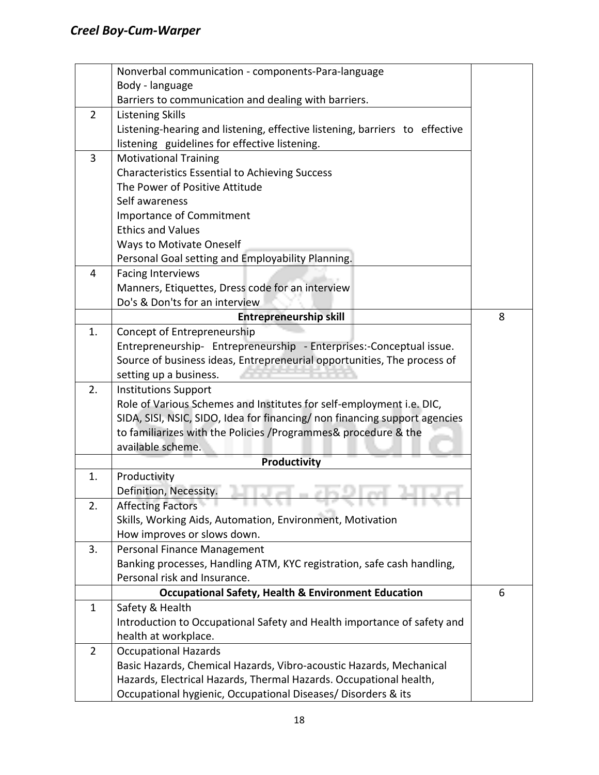|                | Nonverbal communication - components-Para-language                          |   |  |  |  |  |  |  |
|----------------|-----------------------------------------------------------------------------|---|--|--|--|--|--|--|
|                | Body - language                                                             |   |  |  |  |  |  |  |
|                | Barriers to communication and dealing with barriers.                        |   |  |  |  |  |  |  |
| $\overline{2}$ | <b>Listening Skills</b>                                                     |   |  |  |  |  |  |  |
|                | Listening-hearing and listening, effective listening, barriers to effective |   |  |  |  |  |  |  |
|                | listening guidelines for effective listening.                               |   |  |  |  |  |  |  |
| 3              | <b>Motivational Training</b>                                                |   |  |  |  |  |  |  |
|                | <b>Characteristics Essential to Achieving Success</b>                       |   |  |  |  |  |  |  |
|                | The Power of Positive Attitude                                              |   |  |  |  |  |  |  |
|                | Self awareness                                                              |   |  |  |  |  |  |  |
|                | <b>Importance of Commitment</b>                                             |   |  |  |  |  |  |  |
|                | <b>Ethics and Values</b>                                                    |   |  |  |  |  |  |  |
|                | <b>Ways to Motivate Oneself</b>                                             |   |  |  |  |  |  |  |
|                | Personal Goal setting and Employability Planning.                           |   |  |  |  |  |  |  |
| 4              | <b>Facing Interviews</b>                                                    |   |  |  |  |  |  |  |
|                | Manners, Etiquettes, Dress code for an interview                            |   |  |  |  |  |  |  |
|                | Do's & Don'ts for an interview                                              |   |  |  |  |  |  |  |
|                | <b>Entrepreneurship skill</b>                                               | 8 |  |  |  |  |  |  |
| 1.             | Concept of Entrepreneurship                                                 |   |  |  |  |  |  |  |
|                | Entrepreneurship- Entrepreneurship - Enterprises:-Conceptual issue.         |   |  |  |  |  |  |  |
|                | Source of business ideas, Entrepreneurial opportunities, The process of     |   |  |  |  |  |  |  |
|                | setting up a business.                                                      |   |  |  |  |  |  |  |
| 2.             | <b>Institutions Support</b>                                                 |   |  |  |  |  |  |  |
|                | Role of Various Schemes and Institutes for self-employment i.e. DIC,        |   |  |  |  |  |  |  |
|                | SIDA, SISI, NSIC, SIDO, Idea for financing/ non financing support agencies  |   |  |  |  |  |  |  |
|                | to familiarizes with the Policies /Programmes& procedure & the              |   |  |  |  |  |  |  |
|                | available scheme.                                                           |   |  |  |  |  |  |  |
|                | <b>Productivity</b>                                                         |   |  |  |  |  |  |  |
| 1.             | Productivity                                                                |   |  |  |  |  |  |  |
|                | Definition, Necessity.                                                      |   |  |  |  |  |  |  |
| 2.             | Affecting Factors<br>$-11331$                                               |   |  |  |  |  |  |  |
|                | Skills, Working Aids, Automation, Environment, Motivation                   |   |  |  |  |  |  |  |
|                | How improves or slows down.                                                 |   |  |  |  |  |  |  |
| 3.             | Personal Finance Management                                                 |   |  |  |  |  |  |  |
|                | Banking processes, Handling ATM, KYC registration, safe cash handling,      |   |  |  |  |  |  |  |
|                | Personal risk and Insurance.                                                |   |  |  |  |  |  |  |
|                | <b>Occupational Safety, Health &amp; Environment Education</b>              | 6 |  |  |  |  |  |  |
| 1              | Safety & Health                                                             |   |  |  |  |  |  |  |
|                | Introduction to Occupational Safety and Health importance of safety and     |   |  |  |  |  |  |  |
|                | health at workplace.                                                        |   |  |  |  |  |  |  |
| $\overline{2}$ | <b>Occupational Hazards</b>                                                 |   |  |  |  |  |  |  |
|                | Basic Hazards, Chemical Hazards, Vibro-acoustic Hazards, Mechanical         |   |  |  |  |  |  |  |
|                | Hazards, Electrical Hazards, Thermal Hazards. Occupational health,          |   |  |  |  |  |  |  |
|                | Occupational hygienic, Occupational Diseases/ Disorders & its               |   |  |  |  |  |  |  |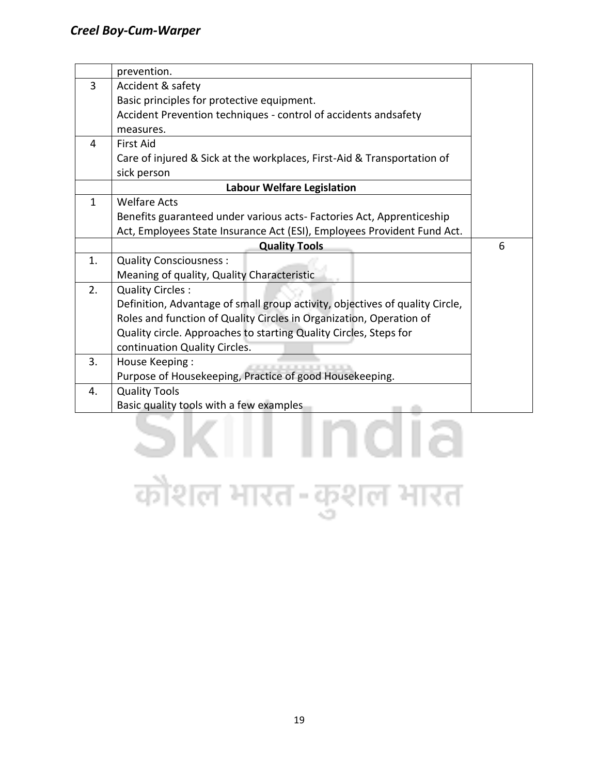|              | prevention.                                                                  |  |  |  |  |  |  |  |
|--------------|------------------------------------------------------------------------------|--|--|--|--|--|--|--|
| 3            | Accident & safety                                                            |  |  |  |  |  |  |  |
|              | Basic principles for protective equipment.                                   |  |  |  |  |  |  |  |
|              | Accident Prevention techniques - control of accidents andsafety              |  |  |  |  |  |  |  |
|              | measures.                                                                    |  |  |  |  |  |  |  |
| 4            | <b>First Aid</b>                                                             |  |  |  |  |  |  |  |
|              | Care of injured & Sick at the workplaces, First-Aid & Transportation of      |  |  |  |  |  |  |  |
|              | sick person                                                                  |  |  |  |  |  |  |  |
|              | <b>Labour Welfare Legislation</b>                                            |  |  |  |  |  |  |  |
| $\mathbf{1}$ | <b>Welfare Acts</b>                                                          |  |  |  |  |  |  |  |
|              | Benefits guaranteed under various acts-Factories Act, Apprenticeship         |  |  |  |  |  |  |  |
|              | Act, Employees State Insurance Act (ESI), Employees Provident Fund Act.      |  |  |  |  |  |  |  |
|              | <b>Quality Tools</b>                                                         |  |  |  |  |  |  |  |
| 1.           | <b>Quality Consciousness:</b>                                                |  |  |  |  |  |  |  |
|              | Meaning of quality, Quality Characteristic                                   |  |  |  |  |  |  |  |
| 2.           | <b>Quality Circles:</b>                                                      |  |  |  |  |  |  |  |
|              | Definition, Advantage of small group activity, objectives of quality Circle, |  |  |  |  |  |  |  |
|              | Roles and function of Quality Circles in Organization, Operation of          |  |  |  |  |  |  |  |
|              | Quality circle. Approaches to starting Quality Circles, Steps for            |  |  |  |  |  |  |  |
|              | continuation Quality Circles.                                                |  |  |  |  |  |  |  |
| 3.           | House Keeping:                                                               |  |  |  |  |  |  |  |
|              | Purpose of Housekeeping, Practice of good Housekeeping.                      |  |  |  |  |  |  |  |
| 4.           | <b>Quality Tools</b>                                                         |  |  |  |  |  |  |  |
|              | Basic quality tools with a few examples                                      |  |  |  |  |  |  |  |
|              |                                                                              |  |  |  |  |  |  |  |

## कौशल भारत-कुशल भारत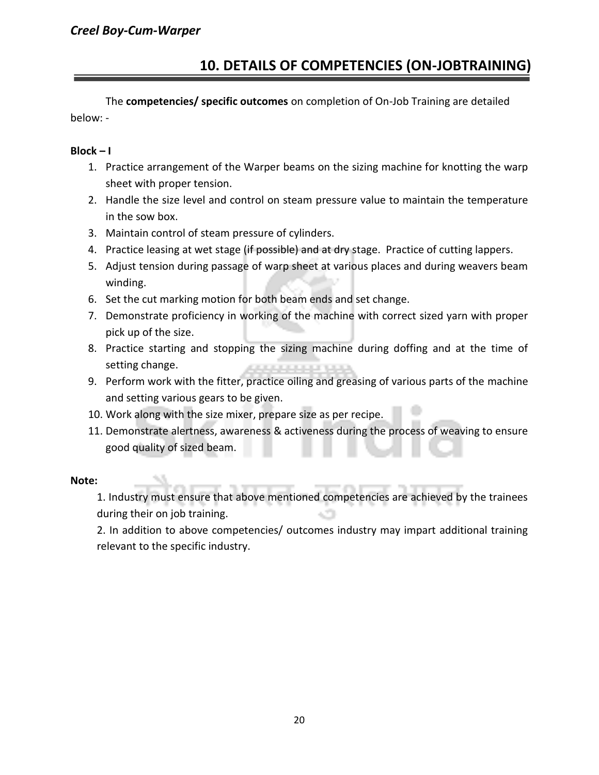### **10. DETAILS OF COMPETENCIES (ON-JOBTRAINING)**

The **competencies/ specific outcomes** on completion of On-Job Training are detailed below: -

#### **Block – I**

- 1. Practice arrangement of the Warper beams on the sizing machine for knotting the warp sheet with proper tension.
- 2. Handle the size level and control on steam pressure value to maintain the temperature in the sow box.
- 3. Maintain control of steam pressure of cylinders.
- 4. Practice leasing at wet stage (if possible) and at dry stage. Practice of cutting lappers.
- 5. Adjust tension during passage of warp sheet at various places and during weavers beam winding.
- 6. Set the cut marking motion for both beam ends and set change.
- 7. Demonstrate proficiency in working of the machine with correct sized yarn with proper pick up of the size.
- 8. Practice starting and stopping the sizing machine during doffing and at the time of setting change.
- 9. Perform work with the fitter, practice oiling and greasing of various parts of the machine and setting various gears to be given.
- 10. Work along with the size mixer, prepare size as per recipe.
- 11. Demonstrate alertness, awareness & activeness during the process of weaving to ensure good quality of sized beam.

#### **Note:**

1. Industry must ensure that above mentioned competencies are achieved by the trainees during their on job training.

2. In addition to above competencies/ outcomes industry may impart additional training relevant to the specific industry.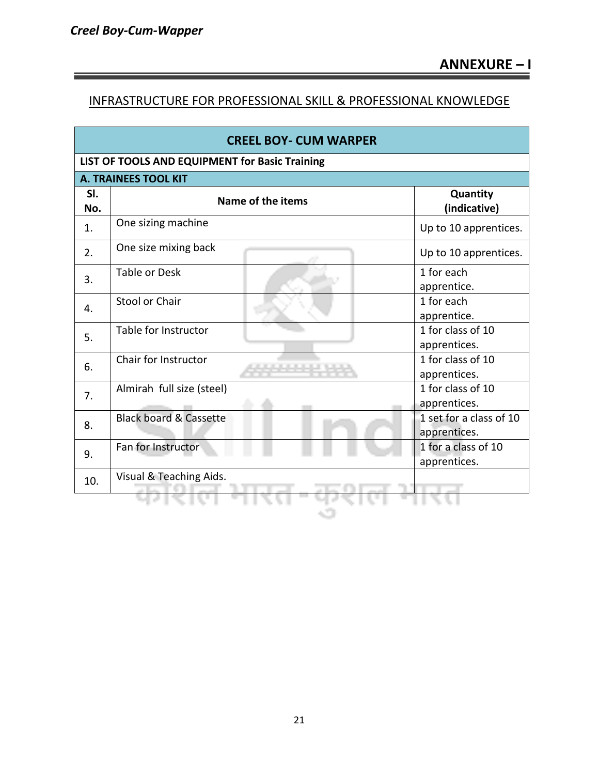**Contract Contract Contract Contract** 

#### INFRASTRUCTURE FOR PROFESSIONAL SKILL & PROFESSIONAL KNOWLEDGE

| LIST OF TOOLS AND EQUIPMENT for Basic Training<br><b>A. TRAINEES TOOL KIT</b><br>SI.<br>Quantity<br>Name of the items<br>(indicative)<br>No.<br>One sizing machine<br>Up to 10 apprentices.<br>1.<br>One size mixing back<br>Up to 10 apprentices.<br>2.<br>1 for each<br>Table or Desk<br>3.<br>apprentice.<br>Stool or Chair<br>1 for each<br>4.<br>apprentice.<br>1 for class of 10<br>Table for Instructor<br>5.<br>apprentices.<br>1 for class of 10<br>Chair for Instructor<br>6.<br>apprentices.<br>1 for class of 10<br>Almirah full size (steel)<br>7.<br>apprentices.<br><b>Black board &amp; Cassette</b><br>1 set for a class of 10<br>8.<br>apprentices.<br>1 for a class of 10<br>Fan for Instructor<br>9.<br>apprentices.<br>Visual & Teaching Aids.<br>10. | <b>CREEL BOY- CUM WARPER</b> |  |  |  |  |  |  |  |  |  |  |
|----------------------------------------------------------------------------------------------------------------------------------------------------------------------------------------------------------------------------------------------------------------------------------------------------------------------------------------------------------------------------------------------------------------------------------------------------------------------------------------------------------------------------------------------------------------------------------------------------------------------------------------------------------------------------------------------------------------------------------------------------------------------------|------------------------------|--|--|--|--|--|--|--|--|--|--|
|                                                                                                                                                                                                                                                                                                                                                                                                                                                                                                                                                                                                                                                                                                                                                                            |                              |  |  |  |  |  |  |  |  |  |  |
|                                                                                                                                                                                                                                                                                                                                                                                                                                                                                                                                                                                                                                                                                                                                                                            |                              |  |  |  |  |  |  |  |  |  |  |
|                                                                                                                                                                                                                                                                                                                                                                                                                                                                                                                                                                                                                                                                                                                                                                            |                              |  |  |  |  |  |  |  |  |  |  |
|                                                                                                                                                                                                                                                                                                                                                                                                                                                                                                                                                                                                                                                                                                                                                                            |                              |  |  |  |  |  |  |  |  |  |  |
|                                                                                                                                                                                                                                                                                                                                                                                                                                                                                                                                                                                                                                                                                                                                                                            |                              |  |  |  |  |  |  |  |  |  |  |
|                                                                                                                                                                                                                                                                                                                                                                                                                                                                                                                                                                                                                                                                                                                                                                            |                              |  |  |  |  |  |  |  |  |  |  |
|                                                                                                                                                                                                                                                                                                                                                                                                                                                                                                                                                                                                                                                                                                                                                                            |                              |  |  |  |  |  |  |  |  |  |  |
|                                                                                                                                                                                                                                                                                                                                                                                                                                                                                                                                                                                                                                                                                                                                                                            |                              |  |  |  |  |  |  |  |  |  |  |
|                                                                                                                                                                                                                                                                                                                                                                                                                                                                                                                                                                                                                                                                                                                                                                            |                              |  |  |  |  |  |  |  |  |  |  |
|                                                                                                                                                                                                                                                                                                                                                                                                                                                                                                                                                                                                                                                                                                                                                                            |                              |  |  |  |  |  |  |  |  |  |  |
|                                                                                                                                                                                                                                                                                                                                                                                                                                                                                                                                                                                                                                                                                                                                                                            |                              |  |  |  |  |  |  |  |  |  |  |
|                                                                                                                                                                                                                                                                                                                                                                                                                                                                                                                                                                                                                                                                                                                                                                            |                              |  |  |  |  |  |  |  |  |  |  |
|                                                                                                                                                                                                                                                                                                                                                                                                                                                                                                                                                                                                                                                                                                                                                                            |                              |  |  |  |  |  |  |  |  |  |  |
|                                                                                                                                                                                                                                                                                                                                                                                                                                                                                                                                                                                                                                                                                                                                                                            |                              |  |  |  |  |  |  |  |  |  |  |
|                                                                                                                                                                                                                                                                                                                                                                                                                                                                                                                                                                                                                                                                                                                                                                            |                              |  |  |  |  |  |  |  |  |  |  |
|                                                                                                                                                                                                                                                                                                                                                                                                                                                                                                                                                                                                                                                                                                                                                                            |                              |  |  |  |  |  |  |  |  |  |  |
|                                                                                                                                                                                                                                                                                                                                                                                                                                                                                                                                                                                                                                                                                                                                                                            |                              |  |  |  |  |  |  |  |  |  |  |
|                                                                                                                                                                                                                                                                                                                                                                                                                                                                                                                                                                                                                                                                                                                                                                            |                              |  |  |  |  |  |  |  |  |  |  |
|                                                                                                                                                                                                                                                                                                                                                                                                                                                                                                                                                                                                                                                                                                                                                                            |                              |  |  |  |  |  |  |  |  |  |  |
|                                                                                                                                                                                                                                                                                                                                                                                                                                                                                                                                                                                                                                                                                                                                                                            |                              |  |  |  |  |  |  |  |  |  |  |

 $\sim$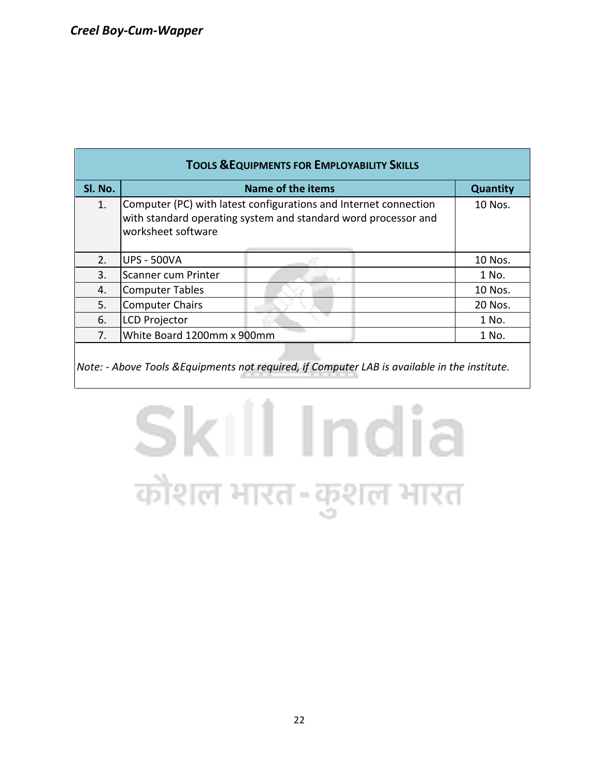| <b>TOOLS &amp; EQUIPMENTS FOR EMPLOYABILITY SKILLS</b> |                                                                                                                                                          |                 |  |  |  |  |  |  |  |
|--------------------------------------------------------|----------------------------------------------------------------------------------------------------------------------------------------------------------|-----------------|--|--|--|--|--|--|--|
| Sl. No.                                                | Name of the items                                                                                                                                        | <b>Quantity</b> |  |  |  |  |  |  |  |
| 1.                                                     | Computer (PC) with latest configurations and Internet connection<br>with standard operating system and standard word processor and<br>worksheet software | 10 Nos.         |  |  |  |  |  |  |  |
| 2.                                                     | <b>UPS - 500VA</b>                                                                                                                                       | 10 Nos.         |  |  |  |  |  |  |  |
| 3.                                                     | Scanner cum Printer                                                                                                                                      | 1 No.           |  |  |  |  |  |  |  |
| 4.                                                     | <b>Computer Tables</b>                                                                                                                                   | 10 Nos.         |  |  |  |  |  |  |  |
| 5.                                                     | <b>Computer Chairs</b>                                                                                                                                   | 20 Nos.         |  |  |  |  |  |  |  |
| 6.                                                     | <b>LCD Projector</b>                                                                                                                                     | 1 No.           |  |  |  |  |  |  |  |
| 7 <sub>1</sub>                                         | White Board 1200mm x 900mm                                                                                                                               | 1 No.           |  |  |  |  |  |  |  |
|                                                        |                                                                                                                                                          |                 |  |  |  |  |  |  |  |

*Note: - Above Tools &Equipments not required, if Computer LAB is available in the institute.*

## Skill India कौशल भारत-कुशल भारत